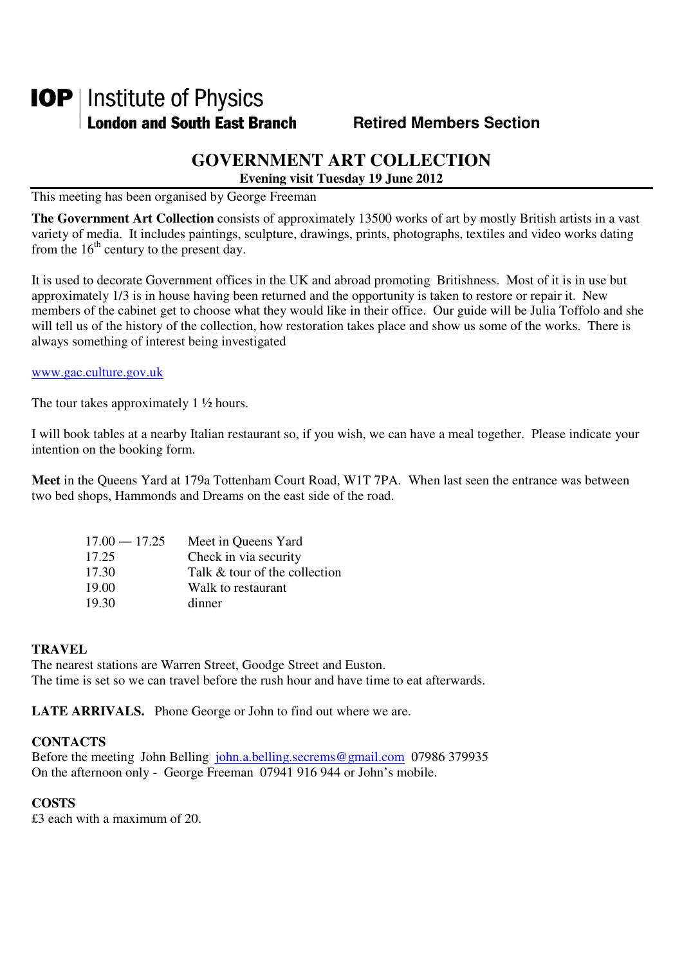# **IOP** | Institute of Physics **London and South East Branch Fighter Contract Members Section**

## **GOVERNMENT ART COLLECTION**

**Evening visit Tuesday 19 June 2012** 

This meeting has been organised by George Freeman

**The Government Art Collection** consists of approximately 13500 works of art by mostly British artists in a vast variety of media. It includes paintings, sculpture, drawings, prints, photographs, textiles and video works dating from the  $16<sup>th</sup>$  century to the present day.

It is used to decorate Government offices in the UK and abroad promoting Britishness. Most of it is in use but approximately 1/3 is in house having been returned and the opportunity is taken to restore or repair it. New members of the cabinet get to choose what they would like in their office. Our guide will be Julia Toffolo and she will tell us of the history of the collection, how restoration takes place and show us some of the works. There is always something of interest being investigated

#### www.gac.culture.gov.uk

The tour takes approximately 1  $\frac{1}{2}$  hours.

I will book tables at a nearby Italian restaurant so, if you wish, we can have a meal together. Please indicate your intention on the booking form.

**Meet** in the Queens Yard at 179a Tottenham Court Road, W1T 7PA. When last seen the entrance was between two bed shops, Hammonds and Dreams on the east side of the road.

| $17.00 - 17.25$ | Meet in Queens Yard           |
|-----------------|-------------------------------|
| 17.25           | Check in via security         |
| 17.30           | Talk & tour of the collection |
| 19.00           | Walk to restaurant            |
| 19.30           | dinner                        |

### **TRAVEL**

The nearest stations are Warren Street, Goodge Street and Euston. The time is set so we can travel before the rush hour and have time to eat afterwards.

**LATE ARRIVALS.** Phone George or John to find out where we are.

#### **CONTACTS**

Before the meeting John Belling john.a.belling.secrems@gmail.com 07986 379935 On the afternoon only - George Freeman 07941 916 944 or John's mobile.

#### **COSTS**

£3 each with a maximum of 20.